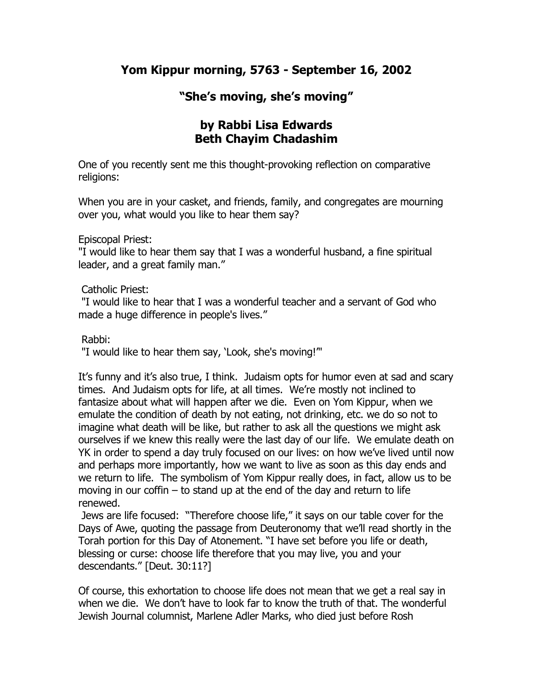## **Yom Kippur morning, 5763 - September 16, 2002**

## **"She's moving, she's moving"**

## **by Rabbi Lisa Edwards Beth Chayim Chadashim**

One of you recently sent me this thought-provoking reflection on comparative religions:

When you are in your casket, and friends, family, and congregates are mourning over you, what would you like to hear them say?

Episcopal Priest:

"I would like to hear them say that I was a wonderful husband, a fine spiritual leader, and a great family man."

Catholic Priest:

"I would like to hear that I was a wonderful teacher and a servant of God who made a huge difference in people's lives."

Rabbi:

"I would like to hear them say, 'Look, she's moving!'"

It's funny and it's also true, I think. Judaism opts for humor even at sad and scary times. And Judaism opts for life, at all times. We're mostly not inclined to fantasize about what will happen after we die. Even on Yom Kippur, when we emulate the condition of death by not eating, not drinking, etc. we do so not to imagine what death will be like, but rather to ask all the questions we might ask ourselves if we knew this really were the last day of our life. We emulate death on YK in order to spend a day truly focused on our lives: on how we've lived until now and perhaps more importantly, how we want to live as soon as this day ends and we return to life. The symbolism of Yom Kippur really does, in fact, allow us to be moving in our coffin – to stand up at the end of the day and return to life renewed.

Jews are life focused: "Therefore choose life," it says on our table cover for the Days of Awe, quoting the passage from Deuteronomy that we'll read shortly in the Torah portion for this Day of Atonement. "I have set before you life or death, blessing or curse: choose life therefore that you may live, you and your descendants." [Deut. 30:11?]

Of course, this exhortation to choose life does not mean that we get a real say in when we die. We don't have to look far to know the truth of that. The wonderful Jewish Journal columnist, Marlene Adler Marks, who died just before Rosh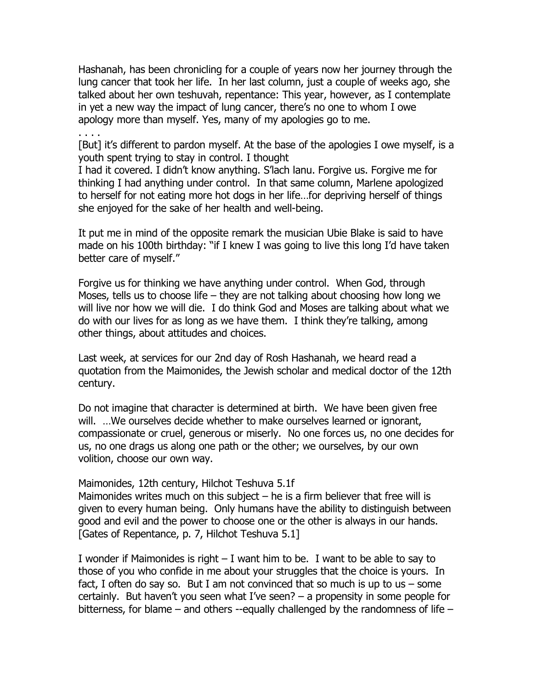Hashanah, has been chronicling for a couple of years now her journey through the lung cancer that took her life. In her last column, just a couple of weeks ago, she talked about her own teshuvah, repentance: This year, however, as I contemplate in yet a new way the impact of lung cancer, there's no one to whom I owe apology more than myself. Yes, many of my apologies go to me.

[But] it's different to pardon myself. At the base of the apologies I owe myself, is a youth spent trying to stay in control. I thought

I had it covered. I didn't know anything. S'lach lanu. Forgive us. Forgive me for thinking I had anything under control. In that same column, Marlene apologized to herself for not eating more hot dogs in her life…for depriving herself of things she enjoyed for the sake of her health and well-being.

It put me in mind of the opposite remark the musician Ubie Blake is said to have made on his 100th birthday: "if I knew I was going to live this long I'd have taken better care of myself."

Forgive us for thinking we have anything under control. When God, through Moses, tells us to choose life – they are not talking about choosing how long we will live nor how we will die. I do think God and Moses are talking about what we do with our lives for as long as we have them. I think they're talking, among other things, about attitudes and choices.

Last week, at services for our 2nd day of Rosh Hashanah, we heard read a quotation from the Maimonides, the Jewish scholar and medical doctor of the 12th century.

Do not imagine that character is determined at birth. We have been given free will. …We ourselves decide whether to make ourselves learned or ignorant, compassionate or cruel, generous or miserly. No one forces us, no one decides for us, no one drags us along one path or the other; we ourselves, by our own volition, choose our own way.

Maimonides, 12th century, Hilchot Teshuva 5.1f

. . . .

Maimonides writes much on this subject  $-$  he is a firm believer that free will is given to every human being. Only humans have the ability to distinguish between good and evil and the power to choose one or the other is always in our hands. [Gates of Repentance, p. 7, Hilchot Teshuva 5.1]

I wonder if Maimonides is right – I want him to be. I want to be able to say to those of you who confide in me about your struggles that the choice is yours. In fact, I often do say so. But I am not convinced that so much is up to us  $-$  some certainly. But haven't you seen what I've seen? – a propensity in some people for bitterness, for blame – and others --equally challenged by the randomness of life –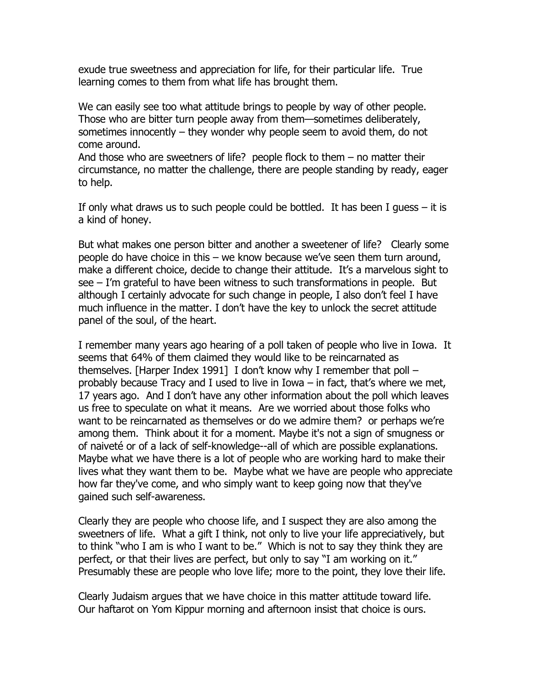exude true sweetness and appreciation for life, for their particular life. True learning comes to them from what life has brought them.

We can easily see too what attitude brings to people by way of other people. Those who are bitter turn people away from them—sometimes deliberately, sometimes innocently – they wonder why people seem to avoid them, do not come around.

And those who are sweetners of life? people flock to them – no matter their circumstance, no matter the challenge, there are people standing by ready, eager to help.

If only what draws us to such people could be bottled. It has been I guess – it is a kind of honey.

But what makes one person bitter and another a sweetener of life? Clearly some people do have choice in this – we know because we've seen them turn around, make a different choice, decide to change their attitude. It's a marvelous sight to see – I'm grateful to have been witness to such transformations in people. But although I certainly advocate for such change in people, I also don't feel I have much influence in the matter. I don't have the key to unlock the secret attitude panel of the soul, of the heart.

I remember many years ago hearing of a poll taken of people who live in Iowa. It seems that 64% of them claimed they would like to be reincarnated as themselves. [Harper Index 1991] I don't know why I remember that poll – probably because Tracy and I used to live in Iowa – in fact, that's where we met, 17 years ago. And I don't have any other information about the poll which leaves us free to speculate on what it means. Are we worried about those folks who want to be reincarnated as themselves or do we admire them? or perhaps we're among them. Think about it for a moment. Maybe it's not a sign of smugness or of naiveté or of a lack of self-knowledge--all of which are possible explanations. Maybe what we have there is a lot of people who are working hard to make their lives what they want them to be. Maybe what we have are people who appreciate how far they've come, and who simply want to keep going now that they've gained such self-awareness.

Clearly they are people who choose life, and I suspect they are also among the sweetners of life. What a gift I think, not only to live your life appreciatively, but to think "who I am is who I want to be." Which is not to say they think they are perfect, or that their lives are perfect, but only to say "I am working on it." Presumably these are people who love life; more to the point, they love their life.

Clearly Judaism argues that we have choice in this matter attitude toward life. Our haftarot on Yom Kippur morning and afternoon insist that choice is ours.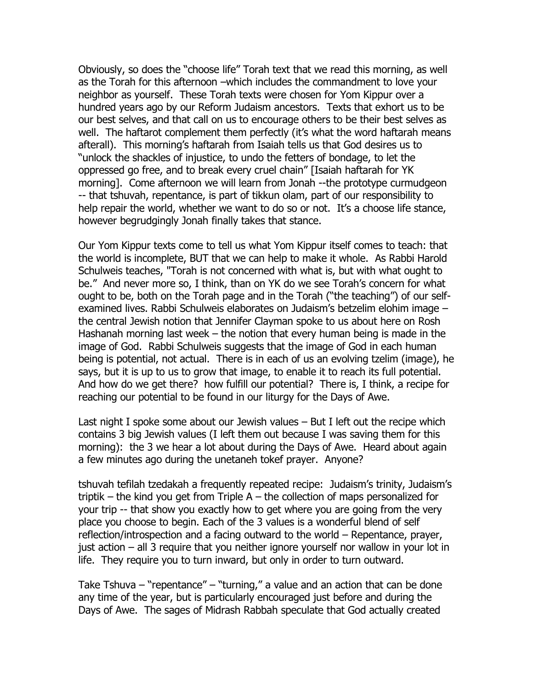Obviously, so does the "choose life" Torah text that we read this morning, as well as the Torah for this afternoon –which includes the commandment to love your neighbor as yourself. These Torah texts were chosen for Yom Kippur over a hundred years ago by our Reform Judaism ancestors. Texts that exhort us to be our best selves, and that call on us to encourage others to be their best selves as well. The haftarot complement them perfectly (it's what the word haftarah means afterall). This morning's haftarah from Isaiah tells us that God desires us to "unlock the shackles of injustice, to undo the fetters of bondage, to let the oppressed go free, and to break every cruel chain" [Isaiah haftarah for YK morning]. Come afternoon we will learn from Jonah --the prototype curmudgeon -- that tshuvah, repentance, is part of tikkun olam, part of our responsibility to help repair the world, whether we want to do so or not. It's a choose life stance, however begrudgingly Jonah finally takes that stance.

Our Yom Kippur texts come to tell us what Yom Kippur itself comes to teach: that the world is incomplete, BUT that we can help to make it whole. As Rabbi Harold Schulweis teaches, "Torah is not concerned with what is, but with what ought to be." And never more so, I think, than on YK do we see Torah's concern for what ought to be, both on the Torah page and in the Torah ("the teaching") of our selfexamined lives. Rabbi Schulweis elaborates on Judaism's betzelim elohim image – the central Jewish notion that Jennifer Clayman spoke to us about here on Rosh Hashanah morning last week – the notion that every human being is made in the image of God. Rabbi Schulweis suggests that the image of God in each human being is potential, not actual. There is in each of us an evolving tzelim (image), he says, but it is up to us to grow that image, to enable it to reach its full potential. And how do we get there? how fulfill our potential? There is, I think, a recipe for reaching our potential to be found in our liturgy for the Days of Awe.

Last night I spoke some about our Jewish values – But I left out the recipe which contains 3 big Jewish values (I left them out because I was saving them for this morning): the 3 we hear a lot about during the Days of Awe. Heard about again a few minutes ago during the unetaneh tokef prayer. Anyone?

tshuvah tefilah tzedakah a frequently repeated recipe: Judaism's trinity, Judaism's triptik – the kind you get from Triple A – the collection of maps personalized for your trip -- that show you exactly how to get where you are going from the very place you choose to begin. Each of the 3 values is a wonderful blend of self reflection/introspection and a facing outward to the world – Repentance, prayer, just action – all 3 require that you neither ignore yourself nor wallow in your lot in life. They require you to turn inward, but only in order to turn outward.

Take Tshuva – "repentance" – "turning," a value and an action that can be done any time of the year, but is particularly encouraged just before and during the Days of Awe. The sages of Midrash Rabbah speculate that God actually created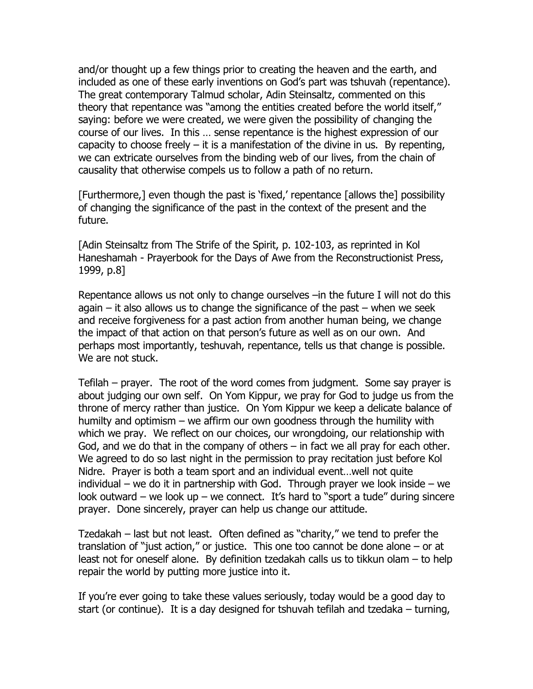and/or thought up a few things prior to creating the heaven and the earth, and included as one of these early inventions on God's part was tshuvah (repentance). The great contemporary Talmud scholar, Adin Steinsaltz, commented on this theory that repentance was "among the entities created before the world itself," saying: before we were created, we were given the possibility of changing the course of our lives. In this … sense repentance is the highest expression of our capacity to choose freely  $-$  it is a manifestation of the divine in us. By repenting, we can extricate ourselves from the binding web of our lives, from the chain of causality that otherwise compels us to follow a path of no return.

[Furthermore,] even though the past is 'fixed,' repentance [allows the] possibility of changing the significance of the past in the context of the present and the future.

[Adin Steinsaltz from The Strife of the Spirit, p. 102-103, as reprinted in Kol Haneshamah - Prayerbook for the Days of Awe from the Reconstructionist Press, 1999, p.8]

Repentance allows us not only to change ourselves –in the future I will not do this again  $-$  it also allows us to change the significance of the past  $-$  when we seek and receive forgiveness for a past action from another human being, we change the impact of that action on that person's future as well as on our own. And perhaps most importantly, teshuvah, repentance, tells us that change is possible. We are not stuck.

Tefilah – prayer. The root of the word comes from judgment. Some say prayer is about judging our own self. On Yom Kippur, we pray for God to judge us from the throne of mercy rather than justice. On Yom Kippur we keep a delicate balance of humilty and optimism – we affirm our own goodness through the humility with which we pray. We reflect on our choices, our wrongdoing, our relationship with God, and we do that in the company of others – in fact we all pray for each other. We agreed to do so last night in the permission to pray recitation just before Kol Nidre. Prayer is both a team sport and an individual event…well not quite individual – we do it in partnership with God. Through prayer we look inside – we look outward – we look up – we connect. It's hard to "sport a tude" during sincere prayer. Done sincerely, prayer can help us change our attitude.

Tzedakah – last but not least. Often defined as "charity," we tend to prefer the translation of "just action," or justice. This one too cannot be done alone – or at least not for oneself alone. By definition tzedakah calls us to tikkun olam – to help repair the world by putting more justice into it.

If you're ever going to take these values seriously, today would be a good day to start (or continue). It is a day designed for tshuvah tefilah and tzedaka – turning,